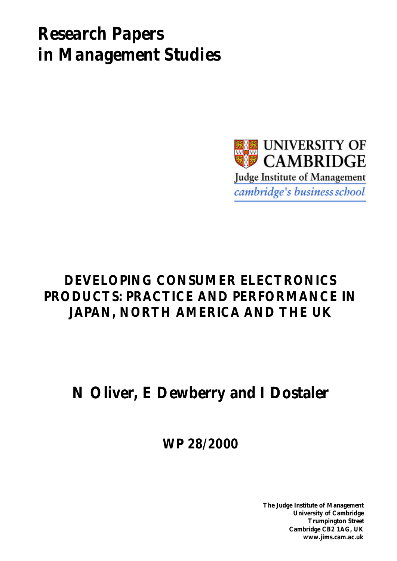# *Research Papers in Management Studies*



# **DEVELOPING CONSUMER ELECTRONICS PRODUCTS: PRACTICE AND PERFORMANCE IN JAPAN, NORTH AMERICA AND THE UK**

# **N Oliver, E Dewberry and I Dostaler**

**WP 28/2000**

**The Judge Institute of Management University of Cambridge Trumpington Street Cambridge CB2 1AG, UK www.jims.cam.ac.uk**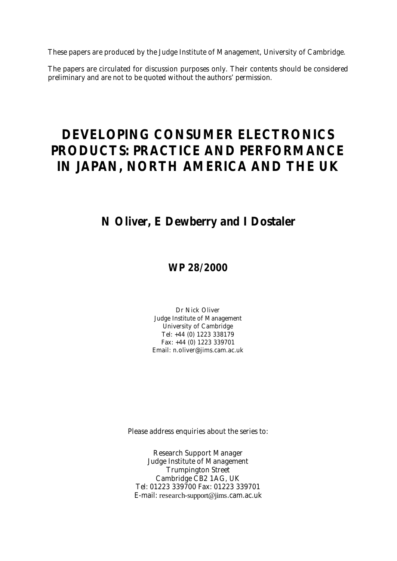These papers are produced by the Judge Institute of Management, University of Cambridge.

The papers are circulated for discussion purposes only. Their contents should be considered preliminary and are not to be quoted without the authors' permission.

# **DEVELOPING CONSUMER ELECTRONICS PRODUCTS: PRACTICE AND PERFORMANCE IN JAPAN, NORTH AMERICA AND THE UK**

## **N Oliver, E Dewberry and I Dostaler**

### **WP 28/2000**

Dr Nick Oliver Judge Institute of Management University of Cambridge Tel: +44 (0) 1223 338179 Fax: +44 (0) 1223 339701 Email: n.oliver@jims.cam.ac.uk

Please address enquiries about the series to:

Research Support Manager Judge Institute of Management Trumpington Street Cambridge CB2 1AG, UK Tel: 01223 339700 Fax: 01223 339701 E-mail: research-support@jims.cam.ac.uk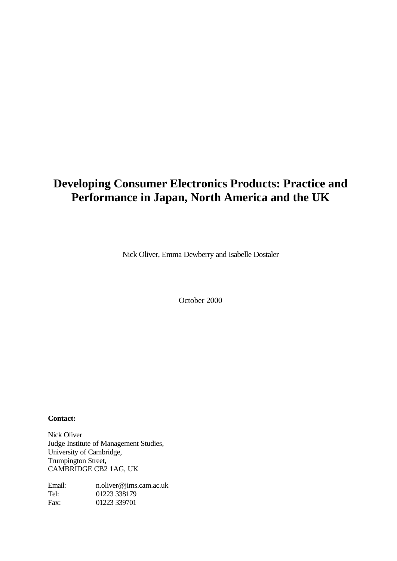## **Developing Consumer Electronics Products: Practice and Performance in Japan, North America and the UK**

Nick Oliver, Emma Dewberry and Isabelle Dostaler

October 2000

**Contact:**

Nick Oliver Judge Institute of Management Studies, University of Cambridge, Trumpington Street, CAMBRIDGE CB2 1AG, UK

Email: n.oliver@jims.cam.ac.uk Tel: 01223 338179 Fax: 01223 339701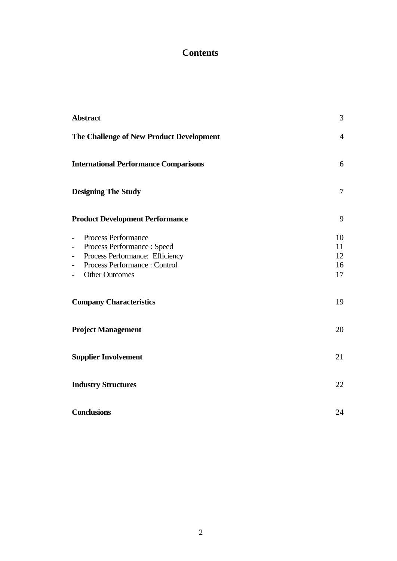### **Contents**

| <b>Abstract</b>                                                                                                                                                                                                                                                                  | 3                          |
|----------------------------------------------------------------------------------------------------------------------------------------------------------------------------------------------------------------------------------------------------------------------------------|----------------------------|
| The Challenge of New Product Development                                                                                                                                                                                                                                         | $\overline{4}$             |
| <b>International Performance Comparisons</b>                                                                                                                                                                                                                                     | 6                          |
| <b>Designing The Study</b>                                                                                                                                                                                                                                                       | $\tau$                     |
| <b>Product Development Performance</b>                                                                                                                                                                                                                                           | 9                          |
| Process Performance<br>$\blacksquare$<br>Process Performance : Speed<br>$\overline{\phantom{a}}$<br>Process Performance: Efficiency<br>$\overline{\phantom{0}}$<br>Process Performance: Control<br>$\overline{\phantom{0}}$<br><b>Other Outcomes</b><br>$\overline{\phantom{0}}$ | 10<br>11<br>12<br>16<br>17 |
| <b>Company Characteristics</b>                                                                                                                                                                                                                                                   | 19                         |
| <b>Project Management</b>                                                                                                                                                                                                                                                        | 20                         |
| <b>Supplier Involvement</b>                                                                                                                                                                                                                                                      | 21                         |
| <b>Industry Structures</b>                                                                                                                                                                                                                                                       | 22                         |
| <b>Conclusions</b>                                                                                                                                                                                                                                                               | 24                         |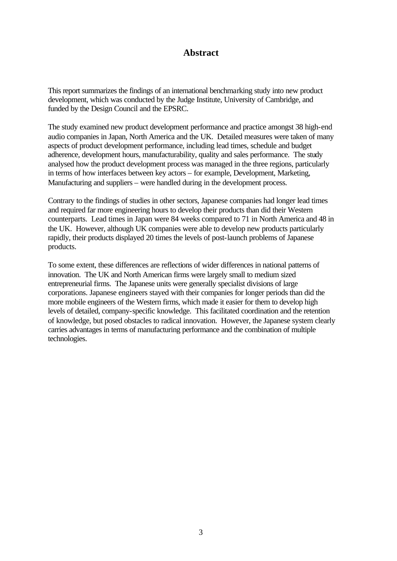### **Abstract**

This report summarizes the findings of an international benchmarking study into new product development, which was conducted by the Judge Institute, University of Cambridge, and funded by the Design Council and the EPSRC.

The study examined new product development performance and practice amongst 38 high-end audio companies in Japan, North America and the UK. Detailed measures were taken of many aspects of product development performance, including lead times, schedule and budget adherence, development hours, manufacturability, quality and sales performance. The study analysed how the product development process was managed in the three regions, particularly in terms of how interfaces between key actors – for example, Development, Marketing, Manufacturing and suppliers – were handled during in the development process.

Contrary to the findings of studies in other sectors, Japanese companies had longer lead times and required far more engineering hours to develop their products than did their Western counterparts. Lead times in Japan were 84 weeks compared to 71 in North America and 48 in the UK. However, although UK companies were able to develop new products particularly rapidly, their products displayed 20 times the levels of post-launch problems of Japanese products.

To some extent, these differences are reflections of wider differences in national patterns of innovation. The UK and North American firms were largely small to medium sized entrepreneurial firms. The Japanese units were generally specialist divisions of large corporations. Japanese engineers stayed with their companies for longer periods than did the more mobile engineers of the Western firms, which made it easier for them to develop high levels of detailed, company-specific knowledge. This facilitated coordination and the retention of knowledge, but posed obstacles to radical innovation. However, the Japanese system clearly carries advantages in terms of manufacturing performance and the combination of multiple technologies.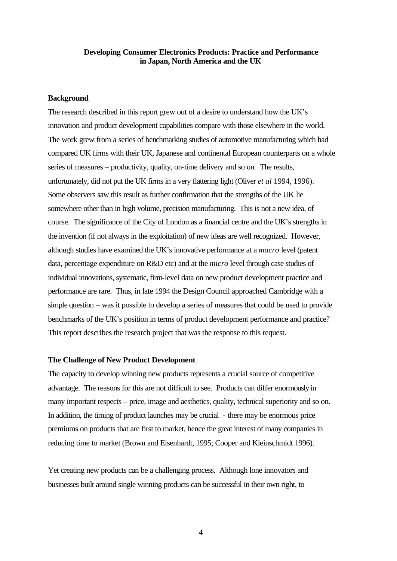#### **Developing Consumer Electronics Products: Practice and Performance in Japan, North America and the UK**

#### **Background**

The research described in this report grew out of a desire to understand how the UK's innovation and product development capabilities compare with those elsewhere in the world. The work grew from a series of benchmarking studies of automotive manufacturing which had compared UK firms with their UK, Japanese and continental European counterparts on a whole series of measures – productivity, quality, on-time delivery and so on. The results, unfortunately, did not put the UK firms in a very flattering light (Oliver *et al* 1994, 1996). Some observers saw this result as further confirmation that the strengths of the UK lie somewhere other than in high volume, precision manufacturing. This is not a new idea, of course. The significance of the City of London as a financial centre and the UK's strengths in the invention (if not always in the exploitation) of new ideas are well recognized. However, although studies have examined the UK's innovative performance at a *macro* level (patent data, percentage expenditure on R&D etc) and at the *micro* level through case studies of individual innovations, systematic, firm-level data on new product development practice and performance are rare. Thus, in late 1994 the Design Council approached Cambridge with a simple question – was it possible to develop a series of measures that could be used to provide benchmarks of the UK's position in terms of product development performance and practice? This report describes the research project that was the response to this request.

#### **The Challenge of New Product Development**

The capacity to develop winning new products represents a crucial source of competitive advantage. The reasons for this are not difficult to see. Products can differ enormously in many important respects – price, image and aesthetics, quality, technical superiority and so on. In addition, the timing of product launches may be crucial - there may be enormous price premiums on products that are first to market, hence the great interest of many companies in reducing time to market (Brown and Eisenhardt, 1995; Cooper and Kleinschmidt 1996).

Yet creating new products can be a challenging process. Although lone innovators and businesses built around single winning products can be successful in their own right, to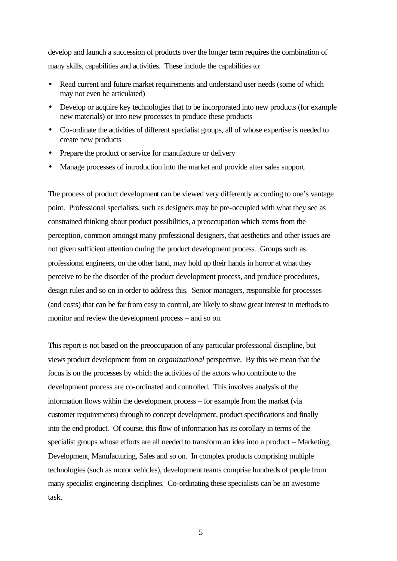develop and launch a succession of products over the longer term requires the combination of many skills, capabilities and activities. These include the capabilities to:

- Read current and future market requirements and understand user needs (some of which may not even be articulated)
- Develop or acquire key technologies that to be incorporated into new products (for example new materials) or into new processes to produce these products
- Co-ordinate the activities of different specialist groups, all of whose expertise is needed to create new products
- Prepare the product or service for manufacture or delivery
- Manage processes of introduction into the market and provide after sales support.

The process of product development can be viewed very differently according to one's vantage point. Professional specialists, such as designers may be pre-occupied with what they see as constrained thinking about product possibilities, a preoccupation which stems from the perception, common amongst many professional designers, that aesthetics and other issues are not given sufficient attention during the product development process. Groups such as professional engineers, on the other hand, may hold up their hands in horror at what they perceive to be the disorder of the product development process, and produce procedures, design rules and so on in order to address this. Senior managers, responsible for processes (and costs) that can be far from easy to control, are likely to show great interest in methods to monitor and review the development process – and so on.

This report is not based on the preoccupation of any particular professional discipline, but views product development from an *organizational* perspective. By this we mean that the focus is on the processes by which the activities of the actors who contribute to the development process are co-ordinated and controlled. This involves analysis of the information flows within the development process – for example from the market (via customer requirements) through to concept development, product specifications and finally into the end product. Of course, this flow of information has its corollary in terms of the specialist groups whose efforts are all needed to transform an idea into a product – Marketing, Development, Manufacturing, Sales and so on. In complex products comprising multiple technologies (such as motor vehicles), development teams comprise hundreds of people from many specialist engineering disciplines. Co-ordinating these specialists can be an awesome task.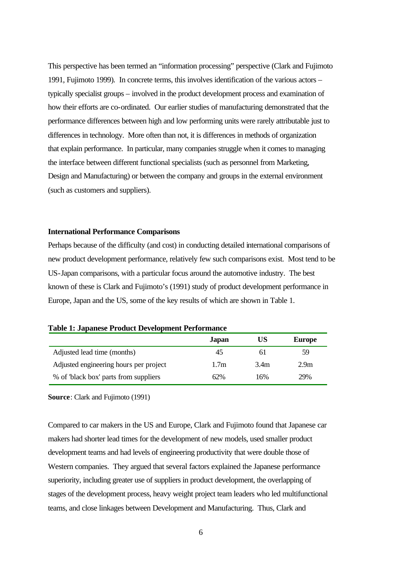This perspective has been termed an "information processing" perspective (Clark and Fujimoto 1991, Fujimoto 1999). In concrete terms, this involves identification of the various actors – typically specialist groups – involved in the product development process and examination of how their efforts are co-ordinated. Our earlier studies of manufacturing demonstrated that the performance differences between high and low performing units were rarely attributable just to differences in technology. More often than not, it is differences in methods of organization that explain performance. In particular, many companies struggle when it comes to managing the interface between different functional specialists (such as personnel from Marketing, Design and Manufacturing) or between the company and groups in the external environment (such as customers and suppliers).

#### **International Performance Comparisons**

Perhaps because of the difficulty (and cost) in conducting detailed international comparisons of new product development performance, relatively few such comparisons exist. Most tend to be US-Japan comparisons, with a particular focus around the automotive industry. The best known of these is Clark and Fujimoto's (1991) study of product development performance in Europe, Japan and the US, some of the key results of which are shown in Table 1.

| Tuble 1: Supultose I Founce Development I efformance |                  |      |                  |
|------------------------------------------------------|------------------|------|------------------|
|                                                      | Japan            | US   | <b>Europe</b>    |
| Adjusted lead time (months)                          | 45               | 61   | 59.              |
| Adjusted engineering hours per project               | 1.7 <sub>m</sub> | 3.4m | 2.9 <sub>m</sub> |
| % of 'black box' parts from suppliers                | 62%              | 16%  | 29%              |

#### **Table 1: Japanese Product Development Performance**

**Source**: Clark and Fujimoto (1991)

Compared to car makers in the US and Europe, Clark and Fujimoto found that Japanese car makers had shorter lead times for the development of new models, used smaller product development teams and had levels of engineering productivity that were double those of Western companies. They argued that several factors explained the Japanese performance superiority, including greater use of suppliers in product development, the overlapping of stages of the development process, heavy weight project team leaders who led multifunctional teams, and close linkages between Development and Manufacturing. Thus, Clark and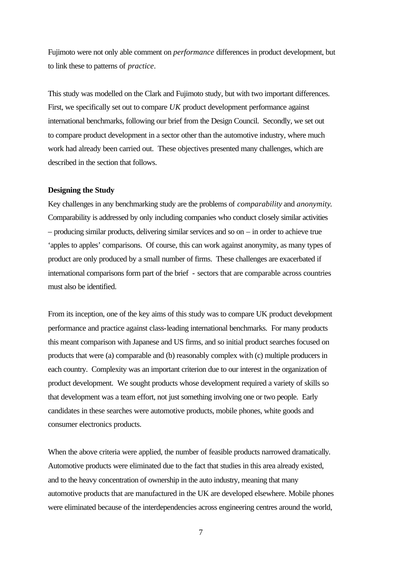Fujimoto were not only able comment on *performance* differences in product development, but to link these to patterns of *practice*.

This study was modelled on the Clark and Fujimoto study, but with two important differences. First, we specifically set out to compare *UK* product development performance against international benchmarks, following our brief from the Design Council. Secondly, we set out to compare product development in a sector other than the automotive industry, where much work had already been carried out. These objectives presented many challenges, which are described in the section that follows.

#### **Designing the Study**

Key challenges in any benchmarking study are the problems of *comparability* and *anonymity*. Comparability is addressed by only including companies who conduct closely similar activities – producing similar products, delivering similar services and so on – in order to achieve true 'apples to apples' comparisons. Of course, this can work against anonymity, as many types of product are only produced by a small number of firms. These challenges are exacerbated if international comparisons form part of the brief - sectors that are comparable across countries must also be identified.

From its inception, one of the key aims of this study was to compare UK product development performance and practice against class-leading international benchmarks. For many products this meant comparison with Japanese and US firms, and so initial product searches focused on products that were (a) comparable and (b) reasonably complex with (c) multiple producers in each country. Complexity was an important criterion due to our interest in the organization of product development. We sought products whose development required a variety of skills so that development was a team effort, not just something involving one or two people. Early candidates in these searches were automotive products, mobile phones, white goods and consumer electronics products.

When the above criteria were applied, the number of feasible products narrowed dramatically. Automotive products were eliminated due to the fact that studies in this area already existed, and to the heavy concentration of ownership in the auto industry, meaning that many automotive products that are manufactured in the UK are developed elsewhere. Mobile phones were eliminated because of the interdependencies across engineering centres around the world,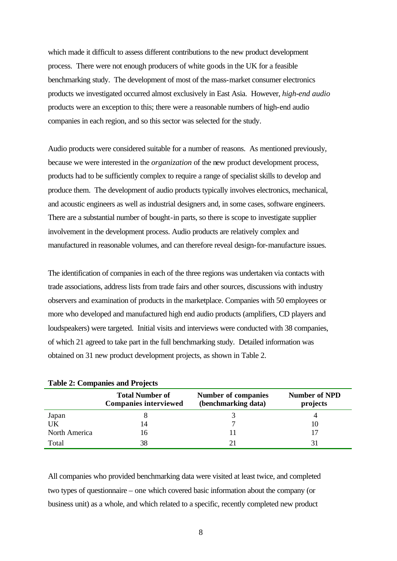which made it difficult to assess different contributions to the new product development process. There were not enough producers of white goods in the UK for a feasible benchmarking study. The development of most of the mass-market consumer electronics products we investigated occurred almost exclusively in East Asia. However, *high-end audio*  products were an exception to this; there were a reasonable numbers of high-end audio companies in each region, and so this sector was selected for the study.

Audio products were considered suitable for a number of reasons. As mentioned previously, because we were interested in the *organization* of the new product development process, products had to be sufficiently complex to require a range of specialist skills to develop and produce them. The development of audio products typically involves electronics, mechanical, and acoustic engineers as well as industrial designers and, in some cases, software engineers. There are a substantial number of bought-in parts, so there is scope to investigate supplier involvement in the development process. Audio products are relatively complex and manufactured in reasonable volumes, and can therefore reveal design-for-manufacture issues.

The identification of companies in each of the three regions was undertaken via contacts with trade associations, address lists from trade fairs and other sources, discussions with industry observers and examination of products in the marketplace. Companies with 50 employees or more who developed and manufactured high end audio products (amplifiers, CD players and loudspeakers) were targeted. Initial visits and interviews were conducted with 38 companies, of which 21 agreed to take part in the full benchmarking study. Detailed information was obtained on 31 new product development projects, as shown in Table 2.

|                     | <b>Total Number of</b><br><b>Companies interviewed</b> | <b>Number of companies</b><br>(benchmarking data) | <b>Number of NPD</b><br>projects |
|---------------------|--------------------------------------------------------|---------------------------------------------------|----------------------------------|
| Japan               |                                                        |                                                   |                                  |
| UK<br>North America | 14<br>16                                               |                                                   |                                  |
| Total               | 38                                                     |                                                   |                                  |

**Table 2: Companies and Projects** 

All companies who provided benchmarking data were visited at least twice, and completed two types of questionnaire – one which covered basic information about the company (or business unit) as a whole, and which related to a specific, recently completed new product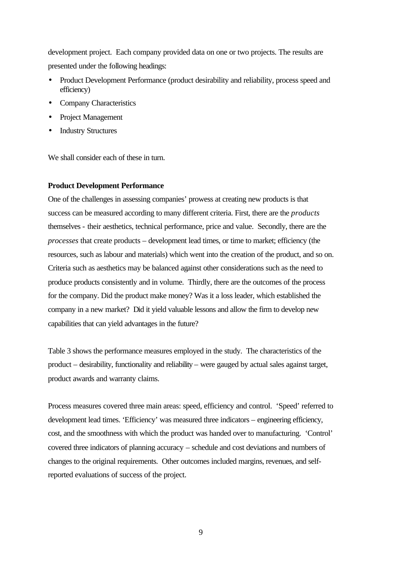development project. Each company provided data on one or two projects. The results are presented under the following headings:

- Product Development Performance (product desirability and reliability, process speed and efficiency)
- Company Characteristics
- Project Management
- Industry Structures

We shall consider each of these in turn.

#### **Product Development Performance**

One of the challenges in assessing companies' prowess at creating new products is that success can be measured according to many different criteria. First, there are the *products* themselves - their aesthetics, technical performance, price and value. Secondly, there are the *processes* that create products – development lead times, or time to market; efficiency (the resources, such as labour and materials) which went into the creation of the product, and so on. Criteria such as aesthetics may be balanced against other considerations such as the need to produce products consistently and in volume. Thirdly, there are the outcomes of the process for the company. Did the product make money? Was it a loss leader, which established the company in a new market? Did it yield valuable lessons and allow the firm to develop new capabilities that can yield advantages in the future?

Table 3 shows the performance measures employed in the study. The characteristics of the product – desirability, functionality and reliability – were gauged by actual sales against target, product awards and warranty claims.

Process measures covered three main areas: speed, efficiency and control. 'Speed' referred to development lead times. 'Efficiency' was measured three indicators – engineering efficiency, cost, and the smoothness with which the product was handed over to manufacturing. 'Control' covered three indicators of planning accuracy – schedule and cost deviations and numbers of changes to the original requirements. Other outcomes included margins, revenues, and selfreported evaluations of success of the project.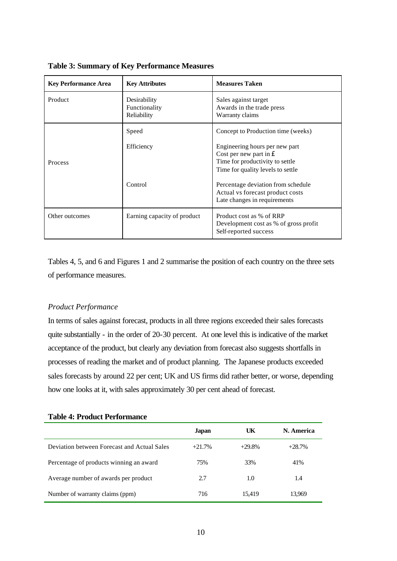| <b>Key Performance Area</b> | <b>Key Attributes</b>                        | <b>Measures Taken</b>                                                                                                                             |
|-----------------------------|----------------------------------------------|---------------------------------------------------------------------------------------------------------------------------------------------------|
| Product                     | Desirability<br>Functionality<br>Reliability | Sales against target<br>Awards in the trade press<br>Warranty claims                                                                              |
|                             | Speed                                        | Concept to Production time (weeks)                                                                                                                |
| <b>Process</b>              | Efficiency                                   | Engineering hours per new part<br>Cost per new part in $\hat{\mathbf{E}}$<br>Time for productivity to settle<br>Time for quality levels to settle |
|                             | Control                                      | Percentage deviation from schedule<br>Actual vs forecast product costs<br>Late changes in requirements                                            |
| Other outcomes              | Earning capacity of product                  | Product cost as % of RRP<br>Development cost as % of gross profit<br>Self-reported success                                                        |

**Table 3: Summary of Key Performance Measures**

Tables 4, 5, and 6 and Figures 1 and 2 summarise the position of each country on the three sets of performance measures.

#### *Product Performance*

In terms of sales against forecast, products in all three regions exceeded their sales forecasts quite substantially - in the order of 20-30 percent. At one level this is indicative of the market acceptance of the product, but clearly any deviation from forecast also suggests shortfalls in processes of reading the market and of product planning. The Japanese products exceeded sales forecasts by around 22 per cent; UK and US firms did rather better, or worse, depending how one looks at it, with sales approximately 30 per cent ahead of forecast.

#### **Table 4: Product Performance**

|                                             | Japan    | UK       | N. America |
|---------------------------------------------|----------|----------|------------|
| Deviation between Forecast and Actual Sales | $+21.7%$ | $+29.8%$ | $+28.7%$   |
| Percentage of products winning an award     | 75%      | 33%      | 41%        |
| Average number of awards per product        | 2.7      | 1.0      | 1.4        |
| Number of warranty claims (ppm)             | 716      | 15.419   | 13.969     |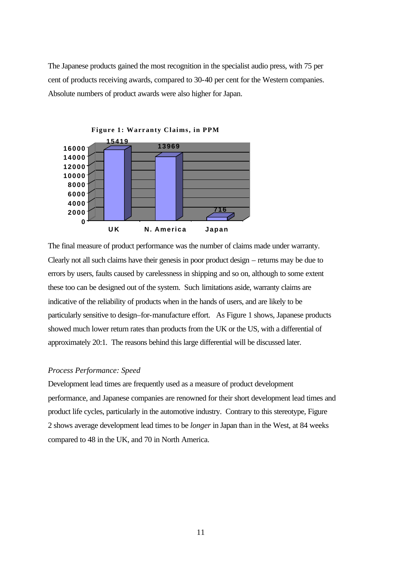The Japanese products gained the most recognition in the specialist audio press, with 75 per cent of products receiving awards, compared to 30-40 per cent for the Western companies. Absolute numbers of product awards were also higher for Japan.



The final measure of product performance was the number of claims made under warranty. Clearly not all such claims have their genesis in poor product design – returns may be due to errors by users, faults caused by carelessness in shipping and so on, although to some extent these too can be designed out of the system. Such limitations aside, warranty claims are indicative of the reliability of products when in the hands of users, and are likely to be particularly sensitive to design–for-manufacture effort. As Figure 1 shows, Japanese products showed much lower return rates than products from the UK or the US, with a differential of approximately 20:1. The reasons behind this large differential will be discussed later.

#### *Process Performance: Speed*

Development lead times are frequently used as a measure of product development performance, and Japanese companies are renowned for their short development lead times and product life cycles, particularly in the automotive industry. Contrary to this stereotype, Figure 2 shows average development lead times to be *longer* in Japan than in the West, at 84 weeks compared to 48 in the UK, and 70 in North America.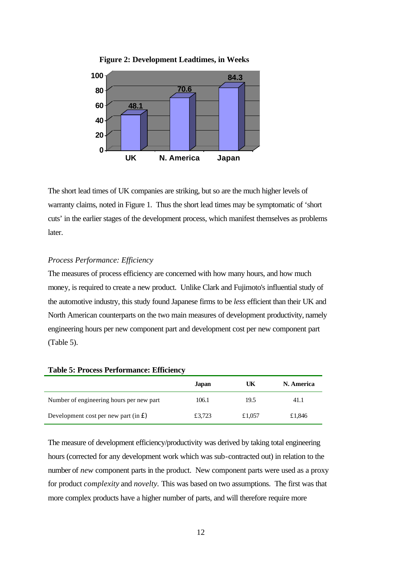

**Figure 2: Development Leadtimes, in Weeks**

The short lead times of UK companies are striking, but so are the much higher levels of warranty claims, noted in Figure 1. Thus the short lead times may be symptomatic of 'short cuts' in the earlier stages of the development process, which manifest themselves as problems later.

#### *Process Performance: Efficiency*

The measures of process efficiency are concerned with how many hours, and how much money, is required to create a new product. Unlike Clark and Fujimoto's influential study of the automotive industry, this study found Japanese firms to be *less* efficient than their UK and North American counterparts on the two main measures of development productivity, namely engineering hours per new component part and development cost per new component part (Table 5).

|                                                        | Japan  | UK     | N. America |
|--------------------------------------------------------|--------|--------|------------|
| Number of engineering hours per new part               | 106.1  | 19.5   | 41.1       |
| Development cost per new part (in $\hat{\mathbf{f}}$ ) | £3,723 | £1,057 | £1,846     |

**Table 5: Process Performance: Efficiency**

The measure of development efficiency/productivity was derived by taking total engineering hours (corrected for any development work which was sub-contracted out) in relation to the number of *new* component parts in the product. New component parts were used as a proxy for product *complexity* and *novelty.* This was based on two assumptions. The first was that more complex products have a higher number of parts, and will therefore require more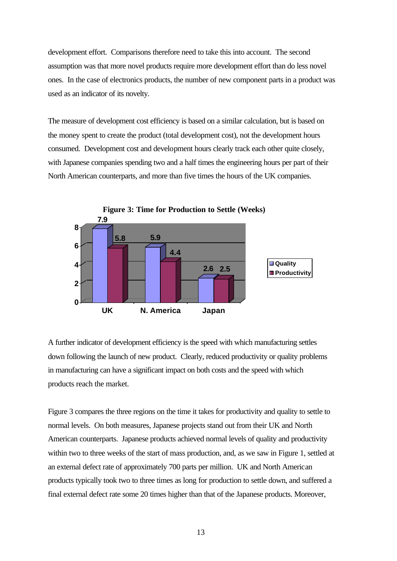development effort. Comparisons therefore need to take this into account. The second assumption was that more novel products require more development effort than do less novel ones. In the case of electronics products, the number of new component parts in a product was used as an indicator of its novelty.

The measure of development cost efficiency is based on a similar calculation, but is based on the money spent to create the product (total development cost), not the development hours consumed. Development cost and development hours clearly track each other quite closely, with Japanese companies spending two and a half times the engineering hours per part of their North American counterparts, and more than five times the hours of the UK companies.



A further indicator of development efficiency is the speed with which manufacturing settles down following the launch of new product. Clearly, reduced productivity or quality problems in manufacturing can have a significant impact on both costs and the speed with which products reach the market.

Figure 3 compares the three regions on the time it takes for productivity and quality to settle to normal levels. On both measures, Japanese projects stand out from their UK and North American counterparts. Japanese products achieved normal levels of quality and productivity within two to three weeks of the start of mass production, and, as we saw in Figure 1, settled at an external defect rate of approximately 700 parts per million. UK and North American products typically took two to three times as long for production to settle down, and suffered a final external defect rate some 20 times higher than that of the Japanese products. Moreover,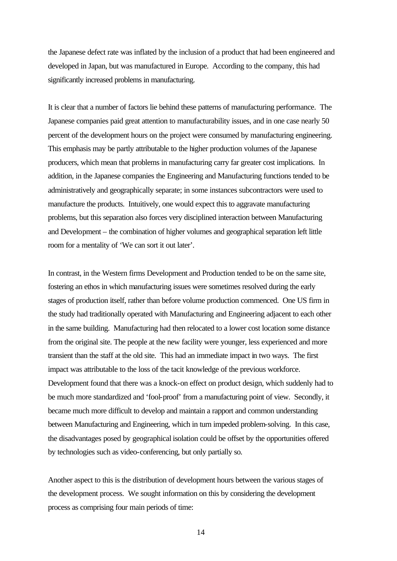the Japanese defect rate was inflated by the inclusion of a product that had been engineered and developed in Japan, but was manufactured in Europe. According to the company, this had significantly increased problems in manufacturing.

It is clear that a number of factors lie behind these patterns of manufacturing performance. The Japanese companies paid great attention to manufacturability issues, and in one case nearly 50 percent of the development hours on the project were consumed by manufacturing engineering. This emphasis may be partly attributable to the higher production volumes of the Japanese producers, which mean that problems in manufacturing carry far greater cost implications. In addition, in the Japanese companies the Engineering and Manufacturing functions tended to be administratively and geographically separate; in some instances subcontractors were used to manufacture the products. Intuitively, one would expect this to aggravate manufacturing problems, but this separation also forces very disciplined interaction between Manufacturing and Development – the combination of higher volumes and geographical separation left little room for a mentality of 'We can sort it out later'.

In contrast, in the Western firms Development and Production tended to be on the same site, fostering an ethos in which manufacturing issues were sometimes resolved during the early stages of production itself, rather than before volume production commenced. One US firm in the study had traditionally operated with Manufacturing and Engineering adjacent to each other in the same building. Manufacturing had then relocated to a lower cost location some distance from the original site. The people at the new facility were younger, less experienced and more transient than the staff at the old site. This had an immediate impact in two ways. The first impact was attributable to the loss of the tacit knowledge of the previous workforce. Development found that there was a knock-on effect on product design, which suddenly had to be much more standardized and 'fool-proof' from a manufacturing point of view. Secondly, it became much more difficult to develop and maintain a rapport and common understanding between Manufacturing and Engineering, which in turn impeded problem-solving. In this case, the disadvantages posed by geographical isolation could be offset by the opportunities offered by technologies such as video-conferencing, but only partially so.

Another aspect to this is the distribution of development hours between the various stages of the development process. We sought information on this by considering the development process as comprising four main periods of time: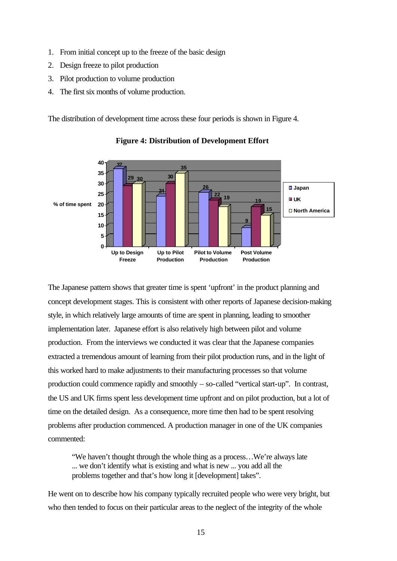- 1. From initial concept up to the freeze of the basic design
- 2. Design freeze to pilot production
- 3. Pilot production to volume production
- 4. The first six months of volume production.

The distribution of development time across these four periods is shown in Figure 4.



**Figure 4: Distribution of Development Effort**

The Japanese pattern shows that greater time is spent 'upfront' in the product planning and concept development stages. This is consistent with other reports of Japanese decision-making style, in which relatively large amounts of time are spent in planning, leading to smoother implementation later. Japanese effort is also relatively high between pilot and volume production. From the interviews we conducted it was clear that the Japanese companies extracted a tremendous amount of learning from their pilot production runs, and in the light of this worked hard to make adjustments to their manufacturing processes so that volume production could commence rapidly and smoothly – so-called "vertical start-up". In contrast, the US and UK firms spent less development time upfront and on pilot production, but a lot of time on the detailed design. As a consequence, more time then had to be spent resolving problems after production commenced. A production manager in one of the UK companies commented:

"We haven't thought through the whole thing as a process…We're always late ... we don't identify what is existing and what is new ... you add all the problems together and that's how long it [development] takes".

He went on to describe how his company typically recruited people who were very bright, but who then tended to focus on their particular areas to the neglect of the integrity of the whole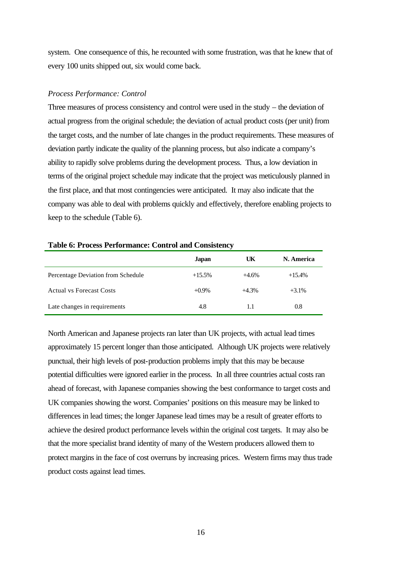system. One consequence of this, he recounted with some frustration, was that he knew that of every 100 units shipped out, six would come back.

#### *Process Performance: Control*

Three measures of process consistency and control were used in the study – the deviation of actual progress from the original schedule; the deviation of actual product costs (per unit) from the target costs, and the number of late changes in the product requirements. These measures of deviation partly indicate the quality of the planning process, but also indicate a company's ability to rapidly solve problems during the development process. Thus, a low deviation in terms of the original project schedule may indicate that the project was meticulously planned in the first place, and that most contingencies were anticipated. It may also indicate that the company was able to deal with problems quickly and effectively, therefore enabling projects to keep to the schedule (Table 6).

#### **Table 6: Process Performance: Control and Consistency**

|                                    | Japan    | UK      | N. America |
|------------------------------------|----------|---------|------------|
| Percentage Deviation from Schedule | $+15.5%$ | $+4.6%$ | $+15.4%$   |
| <b>Actual vs Forecast Costs</b>    | $+0.9\%$ | $+4.3%$ | $+3.1\%$   |
| Late changes in requirements       | 4.8      | 1.1     | 0.8        |

North American and Japanese projects ran later than UK projects, with actual lead times approximately 15 percent longer than those anticipated. Although UK projects were relatively punctual, their high levels of post-production problems imply that this may be because potential difficulties were ignored earlier in the process. In all three countries actual costs ran ahead of forecast, with Japanese companies showing the best conformance to target costs and UK companies showing the worst. Companies' positions on this measure may be linked to differences in lead times; the longer Japanese lead times may be a result of greater efforts to achieve the desired product performance levels within the original cost targets. It may also be that the more specialist brand identity of many of the Western producers allowed them to protect margins in the face of cost overruns by increasing prices. Western firms may thus trade product costs against lead times.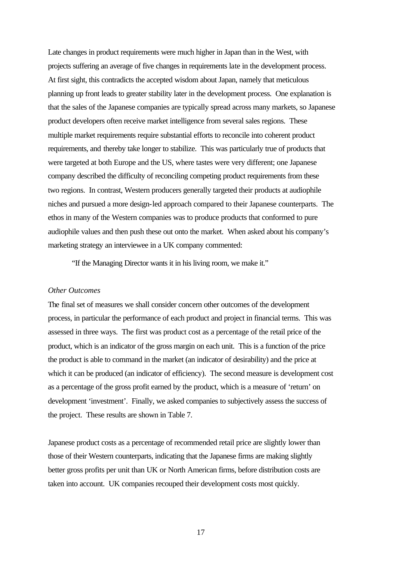Late changes in product requirements were much higher in Japan than in the West, with projects suffering an average of five changes in requirements late in the development process. At first sight, this contradicts the accepted wisdom about Japan, namely that meticulous planning up front leads to greater stability later in the development process. One explanation is that the sales of the Japanese companies are typically spread across many markets, so Japanese product developers often receive market intelligence from several sales regions. These multiple market requirements require substantial efforts to reconcile into coherent product requirements, and thereby take longer to stabilize. This was particularly true of products that were targeted at both Europe and the US, where tastes were very different; one Japanese company described the difficulty of reconciling competing product requirements from these two regions. In contrast, Western producers generally targeted their products at audiophile niches and pursued a more design-led approach compared to their Japanese counterparts. The ethos in many of the Western companies was to produce products that conformed to pure audiophile values and then push these out onto the market. When asked about his company's marketing strategy an interviewee in a UK company commented:

"If the Managing Director wants it in his living room, we make it."

#### *Other Outcomes*

The final set of measures we shall consider concern other outcomes of the development process, in particular the performance of each product and project in financial terms. This was assessed in three ways. The first was product cost as a percentage of the retail price of the product, which is an indicator of the gross margin on each unit. This is a function of the price the product is able to command in the market (an indicator of desirability) and the price at which it can be produced (an indicator of efficiency). The second measure is development cost as a percentage of the gross profit earned by the product, which is a measure of 'return' on development 'investment'. Finally, we asked companies to subjectively assess the success of the project. These results are shown in Table 7.

Japanese product costs as a percentage of recommended retail price are slightly lower than those of their Western counterparts, indicating that the Japanese firms are making slightly better gross profits per unit than UK or North American firms, before distribution costs are taken into account. UK companies recouped their development costs most quickly.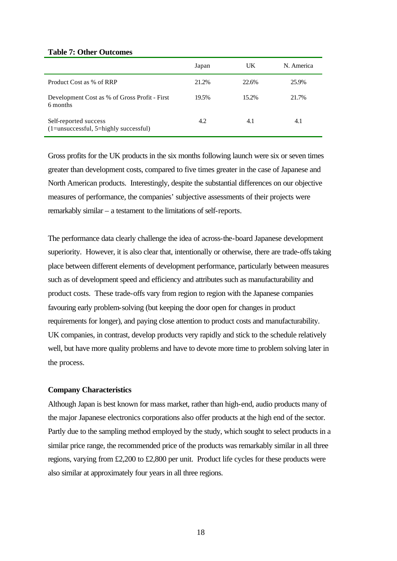#### **Table 7: Other Outcomes**

|                                                                    | Japan | UK    | N. America |
|--------------------------------------------------------------------|-------|-------|------------|
| Product Cost as % of RRP                                           | 21.2% | 22.6% | 25.9%      |
| Development Cost as % of Gross Profit - First<br>6 months          | 19.5% | 15.2% | 21.7%      |
| Self-reported success<br>$(1 =$ unsuccessful, 5=highly successful) | 4.2   | 4.1   | 4.1        |

Gross profits for the UK products in the six months following launch were six or seven times greater than development costs, compared to five times greater in the case of Japanese and North American products. Interestingly, despite the substantial differences on our objective measures of performance, the companies' subjective assessments of their projects were remarkably similar – a testament to the limitations of self-reports.

The performance data clearly challenge the idea of across-the-board Japanese development superiority. However, it is also clear that, intentionally or otherwise, there are trade-offs taking place between different elements of development performance, particularly between measures such as of development speed and efficiency and attributes such as manufacturability and product costs. These trade-offs vary from region to region with the Japanese companies favouring early problem-solving (but keeping the door open for changes in product requirements for longer), and paying close attention to product costs and manufacturability. UK companies, in contrast, develop products very rapidly and stick to the schedule relatively well, but have more quality problems and have to devote more time to problem solving later in the process.

#### **Company Characteristics**

Although Japan is best known for mass market, rather than high-end, audio products many of the major Japanese electronics corporations also offer products at the high end of the sector. Partly due to the sampling method employed by the study, which sought to select products in a similar price range, the recommended price of the products was remarkably similar in all three regions, varying from £2,200 to £2,800 per unit. Product life cycles for these products were also similar at approximately four years in all three regions.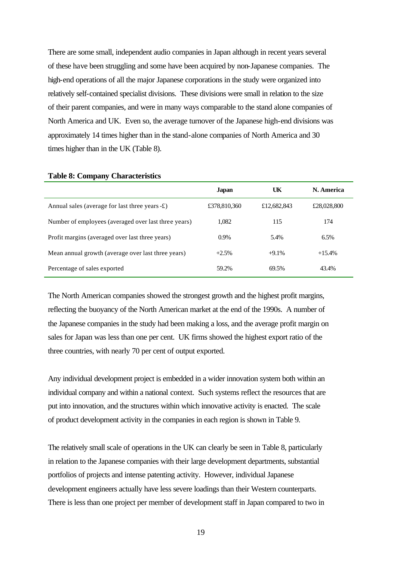There are some small, independent audio companies in Japan although in recent years several of these have been struggling and some have been acquired by non-Japanese companies. The high-end operations of all the major Japanese corporations in the study were organized into relatively self-contained specialist divisions. These divisions were small in relation to the size of their parent companies, and were in many ways comparable to the stand alone companies of North America and UK. Even so, the average turnover of the Japanese high-end divisions was approximately 14 times higher than in the stand-alone companies of North America and 30 times higher than in the UK (Table 8).

|                                                         | <b>Japan</b> | UK          | N. America  |
|---------------------------------------------------------|--------------|-------------|-------------|
| Annual sales (average for last three years $-\pounds$ ) | £378,810,360 | £12,682,843 | £28,028,800 |
| Number of employees (averaged over last three years)    | 1,082        | 115         | 174         |
| Profit margins (averaged over last three years)         | $0.9\%$      | 5.4%        | 6.5%        |
| Mean annual growth (average over last three years)      | $+2.5%$      | $+9.1%$     | $+15.4%$    |
| Percentage of sales exported                            | 59.2%        | 69.5%       | 43.4%       |

**Table 8: Company Characteristics**

The North American companies showed the strongest growth and the highest profit margins, reflecting the buoyancy of the North American market at the end of the 1990s. A number of the Japanese companies in the study had been making a loss, and the average profit margin on sales for Japan was less than one per cent. UK firms showed the highest export ratio of the three countries, with nearly 70 per cent of output exported.

Any individual development project is embedded in a wider innovation system both within an individual company and within a national context. Such systems reflect the resources that are put into innovation, and the structures within which innovative activity is enacted. The scale of product development activity in the companies in each region is shown in Table 9.

The relatively small scale of operations in the UK can clearly be seen in Table 8, particularly in relation to the Japanese companies with their large development departments, substantial portfolios of projects and intense patenting activity. However, individual Japanese development engineers actually have less severe loadings than their Western counterparts. There is less than one project per member of development staff in Japan compared to two in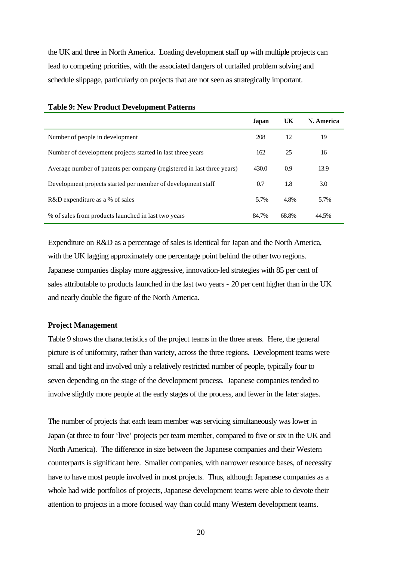the UK and three in North America. Loading development staff up with multiple projects can lead to competing priorities, with the associated dangers of curtailed problem solving and schedule slippage, particularly on projects that are not seen as strategically important.

|                                                                        | <b>Japan</b> | UK    | N. America |
|------------------------------------------------------------------------|--------------|-------|------------|
| Number of people in development                                        | 208          | 12    | 19         |
| Number of development projects started in last three years             | 162          | 25    | 16         |
| Average number of patents per company (registered in last three years) | 430.0        | 0.9   | 13.9       |
| Development projects started per member of development staff           | 0.7          | 1.8   | 3.0        |
| R&D expenditure as a % of sales                                        | 5.7%         | 4.8%  | 5.7%       |
| % of sales from products launched in last two years                    | 84.7%        | 68.8% | 44.5%      |

#### **Table 9: New Product Development Patterns**

Expenditure on R&D as a percentage of sales is identical for Japan and the North America, with the UK lagging approximately one percentage point behind the other two regions. Japanese companies display more aggressive, innovation-led strategies with 85 per cent of sales attributable to products launched in the last two years - 20 per cent higher than in the UK and nearly double the figure of the North America.

#### **Project Management**

Table 9 shows the characteristics of the project teams in the three areas. Here, the general picture is of uniformity, rather than variety, across the three regions. Development teams were small and tight and involved only a relatively restricted number of people, typically four to seven depending on the stage of the development process. Japanese companies tended to involve slightly more people at the early stages of the process, and fewer in the later stages.

The number of projects that each team member was servicing simultaneously was lower in Japan (at three to four 'live' projects per team member, compared to five or six in the UK and North America). The difference in size between the Japanese companies and their Western counterparts is significant here. Smaller companies, with narrower resource bases, of necessity have to have most people involved in most projects. Thus, although Japanese companies as a whole had wide portfolios of projects, Japanese development teams were able to devote their attention to projects in a more focused way than could many Western development teams.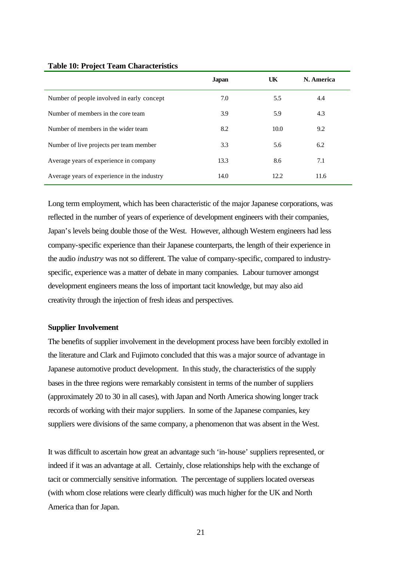|                                             | <b>Japan</b> | UK   | N. America |
|---------------------------------------------|--------------|------|------------|
| Number of people involved in early concept  | 7.0          | 5.5  | 4.4        |
| Number of members in the core team          | 3.9          | 5.9  | 4.3        |
| Number of members in the wider team         | 8.2          | 10.0 | 9.2        |
| Number of live projects per team member     | 3.3          | 5.6  | 6.2        |
| Average years of experience in company      | 13.3         | 8.6  | 7.1        |
| Average years of experience in the industry | 14.0         | 12.2 | 11.6       |

#### **Table 10: Project Team Characteristics**

Long term employment, which has been characteristic of the major Japanese corporations, was reflected in the number of years of experience of development engineers with their companies, Japan's levels being double those of the West. However, although Western engineers had less company-specific experience than their Japanese counterparts, the length of their experience in the audio *industry* was not so different. The value of company-specific, compared to industryspecific, experience was a matter of debate in many companies. Labour turnover amongst development engineers means the loss of important tacit knowledge, but may also aid creativity through the injection of fresh ideas and perspectives.

#### **Supplier Involvement**

The benefits of supplier involvement in the development process have been forcibly extolled in the literature and Clark and Fujimoto concluded that this was a major source of advantage in Japanese automotive product development. In this study, the characteristics of the supply bases in the three regions were remarkably consistent in terms of the number of suppliers (approximately 20 to 30 in all cases), with Japan and North America showing longer track records of working with their major suppliers. In some of the Japanese companies, key suppliers were divisions of the same company, a phenomenon that was absent in the West.

It was difficult to ascertain how great an advantage such 'in-house' suppliers represented, or indeed if it was an advantage at all. Certainly, close relationships help with the exchange of tacit or commercially sensitive information. The percentage of suppliers located overseas (with whom close relations were clearly difficult) was much higher for the UK and North America than for Japan.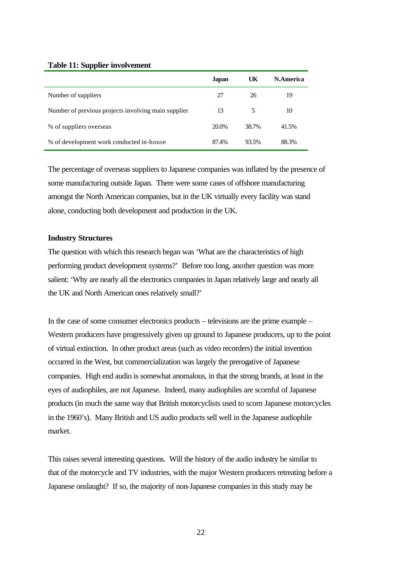#### **Table 11: Supplier involvement**

|                                                     | <b>Japan</b> | UK    | N.America |
|-----------------------------------------------------|--------------|-------|-----------|
| Number of suppliers                                 | 27           | 26    | 19        |
| Number of previous projects involving main supplier | 13           | 5     | 10        |
| % of suppliers overseas                             | 20.0%        | 38.7% | 41.5%     |
| % of development work conducted in-house            | 87.4%        | 93.5% | 88.3%     |

The percentage of overseas suppliers to Japanese companies was inflated by the presence of some manufacturing outside Japan. There were some cases of offshore manufacturing amongst the North American companies, but in the UK virtually every facility was stand alone, conducting both development and production in the UK.

#### **Industry Structures**

The question with which this research began was 'What are the characteristics of high performing product development systems?' Before too long, another question was more salient: 'Why are nearly all the electronics companies in Japan relatively large and nearly all the UK and North American ones relatively small?'

In the case of some consumer electronics products – televisions are the prime example – Western producers have progressively given up ground to Japanese producers, up to the point of virtual extinction. In other product areas (such as video recorders) the initial invention occurred in the West, but commercialization was largely the prerogative of Japanese companies. High end audio is somewhat anomalous, in that the strong brands, at least in the eyes of audiophiles, are not Japanese. Indeed, many audiophiles are scornful of Japanese products (in much the same way that British motorcyclists used to scorn Japanese motorcycles in the 1960's). Many British and US audio products sell well in the Japanese audiophile market.

This raises several interesting questions. Will the history of the audio industry be similar to that of the motorcycle and TV industries, with the major Western producers retreating before a Japanese onslaught? If so, the majority of non-Japanese companies in this study may be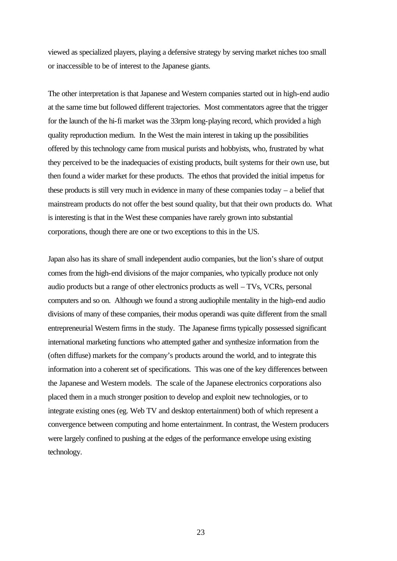viewed as specialized players, playing a defensive strategy by serving market niches too small or inaccessible to be of interest to the Japanese giants.

The other interpretation is that Japanese and Western companies started out in high-end audio at the same time but followed different trajectories. Most commentators agree that the trigger for the launch of the hi-fi market was the 33rpm long-playing record, which provided a high quality reproduction medium. In the West the main interest in taking up the possibilities offered by this technology came from musical purists and hobbyists, who, frustrated by what they perceived to be the inadequacies of existing products, built systems for their own use, but then found a wider market for these products. The ethos that provided the initial impetus for these products is still very much in evidence in many of these companies today – a belief that mainstream products do not offer the best sound quality, but that their own products do. What is interesting is that in the West these companies have rarely grown into substantial corporations, though there are one or two exceptions to this in the US.

Japan also has its share of small independent audio companies, but the lion's share of output comes from the high-end divisions of the major companies, who typically produce not only audio products but a range of other electronics products as well – TVs, VCRs, personal computers and so on. Although we found a strong audiophile mentality in the high-end audio divisions of many of these companies, their modus operandi was quite different from the small entrepreneurial Western firms in the study. The Japanese firms typically possessed significant international marketing functions who attempted gather and synthesize information from the (often diffuse) markets for the company's products around the world, and to integrate this information into a coherent set of specifications. This was one of the key differences between the Japanese and Western models. The scale of the Japanese electronics corporations also placed them in a much stronger position to develop and exploit new technologies, or to integrate existing ones (eg. Web TV and desktop entertainment) both of which represent a convergence between computing and home entertainment. In contrast, the Western producers were largely confined to pushing at the edges of the performance envelope using existing technology.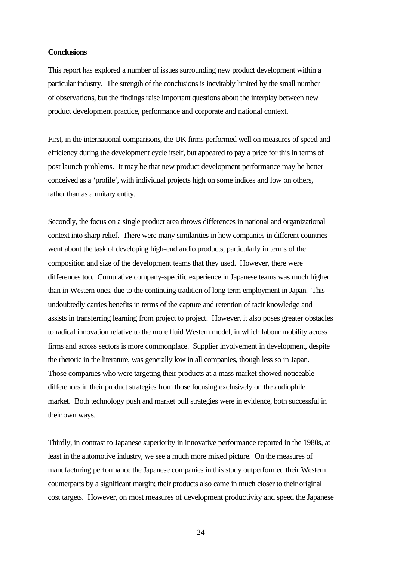#### **Conclusions**

This report has explored a number of issues surrounding new product development within a particular industry. The strength of the conclusions is inevitably limited by the small number of observations, but the findings raise important questions about the interplay between new product development practice, performance and corporate and national context.

First, in the international comparisons, the UK firms performed well on measures of speed and efficiency during the development cycle itself, but appeared to pay a price for this in terms of post launch problems. It may be that new product development performance may be better conceived as a 'profile', with individual projects high on some indices and low on others, rather than as a unitary entity.

Secondly, the focus on a single product area throws differences in national and organizational context into sharp relief. There were many similarities in how companies in different countries went about the task of developing high-end audio products, particularly in terms of the composition and size of the development teams that they used. However, there were differences too. Cumulative company-specific experience in Japanese teams was much higher than in Western ones, due to the continuing tradition of long term employment in Japan. This undoubtedly carries benefits in terms of the capture and retention of tacit knowledge and assists in transferring learning from project to project. However, it also poses greater obstacles to radical innovation relative to the more fluid Western model, in which labour mobility across firms and across sectors is more commonplace. Supplier involvement in development, despite the rhetoric in the literature, was generally low in all companies, though less so in Japan. Those companies who were targeting their products at a mass market showed noticeable differences in their product strategies from those focusing exclusively on the audiophile market. Both technology push and market pull strategies were in evidence, both successful in their own ways.

Thirdly, in contrast to Japanese superiority in innovative performance reported in the 1980s, at least in the automotive industry, we see a much more mixed picture. On the measures of manufacturing performance the Japanese companies in this study outperformed their Western counterparts by a significant margin; their products also came in much closer to their original cost targets. However, on most measures of development productivity and speed the Japanese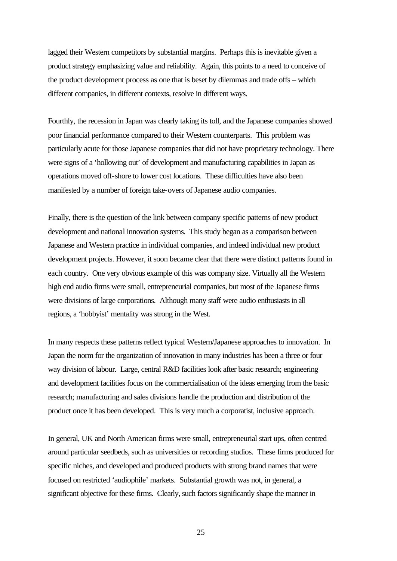lagged their Western competitors by substantial margins. Perhaps this is inevitable given a product strategy emphasizing value and reliability. Again, this points to a need to conceive of the product development process as one that is beset by dilemmas and trade offs – which different companies, in different contexts, resolve in different ways.

Fourthly, the recession in Japan was clearly taking its toll, and the Japanese companies showed poor financial performance compared to their Western counterparts. This problem was particularly acute for those Japanese companies that did not have proprietary technology. There were signs of a 'hollowing out' of development and manufacturing capabilities in Japan as operations moved off-shore to lower cost locations. These difficulties have also been manifested by a number of foreign take-overs of Japanese audio companies.

Finally, there is the question of the link between company specific patterns of new product development and national innovation systems. This study began as a comparison between Japanese and Western practice in individual companies, and indeed individual new product development projects. However, it soon became clear that there were distinct patterns found in each country. One very obvious example of this was company size. Virtually all the Western high end audio firms were small, entrepreneurial companies, but most of the Japanese firms were divisions of large corporations. Although many staff were audio enthusiasts in all regions, a 'hobbyist' mentality was strong in the West.

In many respects these patterns reflect typical Western/Japanese approaches to innovation. In Japan the norm for the organization of innovation in many industries has been a three or four way division of labour. Large, central R&D facilities look after basic research; engineering and development facilities focus on the commercialisation of the ideas emerging from the basic research; manufacturing and sales divisions handle the production and distribution of the product once it has been developed. This is very much a corporatist, inclusive approach.

In general, UK and North American firms were small, entrepreneurial start ups, often centred around particular seedbeds, such as universities or recording studios. These firms produced for specific niches, and developed and produced products with strong brand names that were focused on restricted 'audiophile' markets. Substantial growth was not, in general, a significant objective for these firms. Clearly, such factors significantly shape the manner in